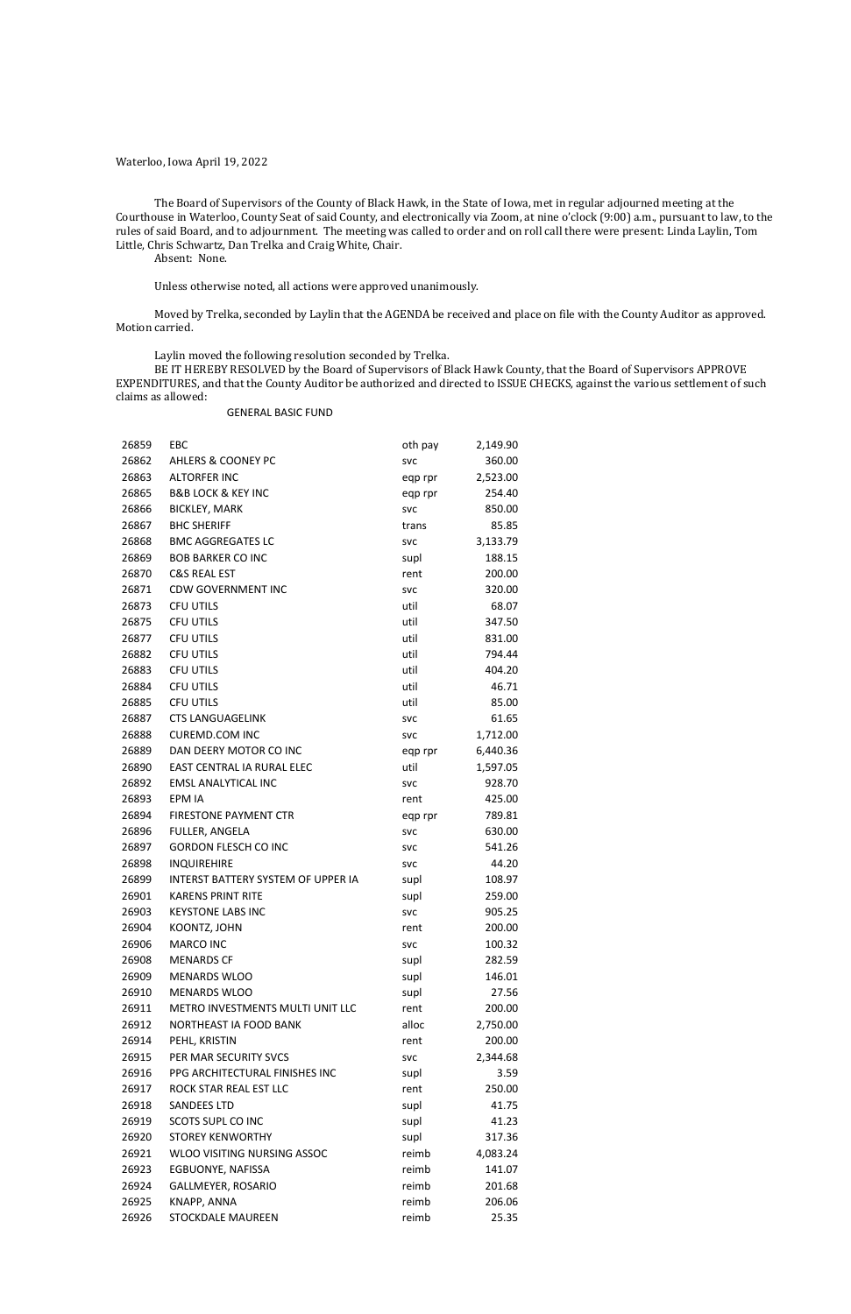Waterloo, Iowa April 19, 2022

The Board of Supervisors of the County of Black Hawk, in the State of Iowa, met in regular adjourned meeting at the Courthouse in Waterloo, County Seat of said County, and electronically via Zoom, at nine o'clock (9:00) a.m., pursuant to law, to the rules of said Board, and to adjournment. The meeting was called to order and on roll call there were present: Linda Laylin, Tom Little, Chris Schwartz, Dan Trelka and Craig White, Chair.

Absent: None.

Unless otherwise noted, all actions were approved unanimously.

Moved by Trelka, seconded by Laylin that the AGENDA be received and place on file with the County Auditor as approved. Motion carried.

Laylin moved the following resolution seconded by Trelka.

BE IT HEREBY RESOLVED by the Board of Supervisors of Black Hawk County, that the Board of Supervisors APPROVE EXPENDITURES, and that the County Auditor be authorized and directed to ISSUE CHECKS, against the various settlement of such claims as allowed:

### GENERAL BASIC FUND

| 26859 | EBC                                | oth pay    | 2,149.90 |
|-------|------------------------------------|------------|----------|
| 26862 | <b>AHLERS &amp; COONEY PC</b>      | <b>SVC</b> | 360.00   |
| 26863 | <b>ALTORFER INC</b>                | eqp rpr    | 2,523.00 |
| 26865 | <b>B&amp;B LOCK &amp; KEY INC</b>  | eqp rpr    | 254.40   |
| 26866 | <b>BICKLEY, MARK</b>               | <b>SVC</b> | 850.00   |
| 26867 | <b>BHC SHERIFF</b>                 | trans      | 85.85    |
| 26868 | <b>BMC AGGREGATES LC</b>           | <b>SVC</b> | 3,133.79 |
| 26869 | <b>BOB BARKER CO INC</b>           | supl       | 188.15   |
| 26870 | <b>C&amp;S REAL EST</b>            | rent       | 200.00   |
| 26871 | <b>CDW GOVERNMENT INC</b>          | <b>SVC</b> | 320.00   |
| 26873 | <b>CFU UTILS</b>                   | util       | 68.07    |
| 26875 | <b>CFU UTILS</b>                   | util       | 347.50   |
| 26877 | <b>CFU UTILS</b>                   | util       | 831.00   |
| 26882 | <b>CFU UTILS</b>                   | util       | 794.44   |
| 26883 | <b>CFU UTILS</b>                   | util       | 404.20   |
| 26884 | <b>CFU UTILS</b>                   | util       | 46.71    |
| 26885 | <b>CFU UTILS</b>                   | util       | 85.00    |
| 26887 | <b>CTS LANGUAGELINK</b>            | <b>SVC</b> | 61.65    |
| 26888 | <b>CUREMD.COM INC</b>              | <b>SVC</b> | 1,712.00 |
| 26889 | DAN DEERY MOTOR CO INC             | eqp rpr    | 6,440.36 |
| 26890 | EAST CENTRAL IA RURAL ELEC         | util       | 1,597.05 |
| 26892 | <b>EMSL ANALYTICAL INC</b>         | <b>SVC</b> | 928.70   |
| 26893 | EPM IA                             | rent       | 425.00   |
| 26894 | <b>FIRESTONE PAYMENT CTR</b>       | eqp rpr    | 789.81   |
| 26896 | FULLER, ANGELA                     | <b>SVC</b> | 630.00   |
| 26897 | <b>GORDON FLESCH CO INC</b>        | <b>SVC</b> | 541.26   |
| 26898 | <b>INQUIREHIRE</b>                 | <b>SVC</b> | 44.20    |
| 26899 | INTERST BATTERY SYSTEM OF UPPER IA | supl       | 108.97   |
| 26901 | <b>KARENS PRINT RITE</b>           | supl       | 259.00   |
| 26903 | <b>KEYSTONE LABS INC</b>           | <b>SVC</b> | 905.25   |
| 26904 | KOONTZ, JOHN                       | rent       | 200.00   |
| 26906 | <b>MARCO INC</b>                   | <b>SVC</b> | 100.32   |
| 26908 | <b>MENARDS CF</b>                  | supl       | 282.59   |
| 26909 | <b>MENARDS WLOO</b>                | supl       | 146.01   |
| 26910 | <b>MENARDS WLOO</b>                | supl       | 27.56    |
| 26911 | METRO INVESTMENTS MULTI UNIT LLC   | rent       | 200.00   |
| 26912 | NORTHEAST IA FOOD BANK             | alloc      | 2,750.00 |
| 26914 | PEHL, KRISTIN                      | rent       | 200.00   |
| 26915 | PER MAR SECURITY SVCS              | <b>SVC</b> | 2,344.68 |
| 26916 | PPG ARCHITECTURAL FINISHES INC     | supl       | 3.59     |
| 26917 | ROCK STAR REAL EST LLC             | rent       | 250.00   |
| 26918 | <b>SANDEES LTD</b>                 | supl       | 41.75    |
| 26919 | <b>SCOTS SUPL CO INC</b>           | supl       | 41.23    |
| 26920 | <b>STOREY KENWORTHY</b>            | supl       | 317.36   |
| 26921 | WLOO VISITING NURSING ASSOC        | reimb      | 4,083.24 |
| 26923 | EGBUONYE, NAFISSA                  | reimb      | 141.07   |
| 26924 | GALLMEYER, ROSARIO                 | reimb      | 201.68   |
| 26925 | KNAPP, ANNA                        | reimb      | 206.06   |
| 26926 | <b>STOCKDALE MAUREEN</b>           | reimb      | 25.35    |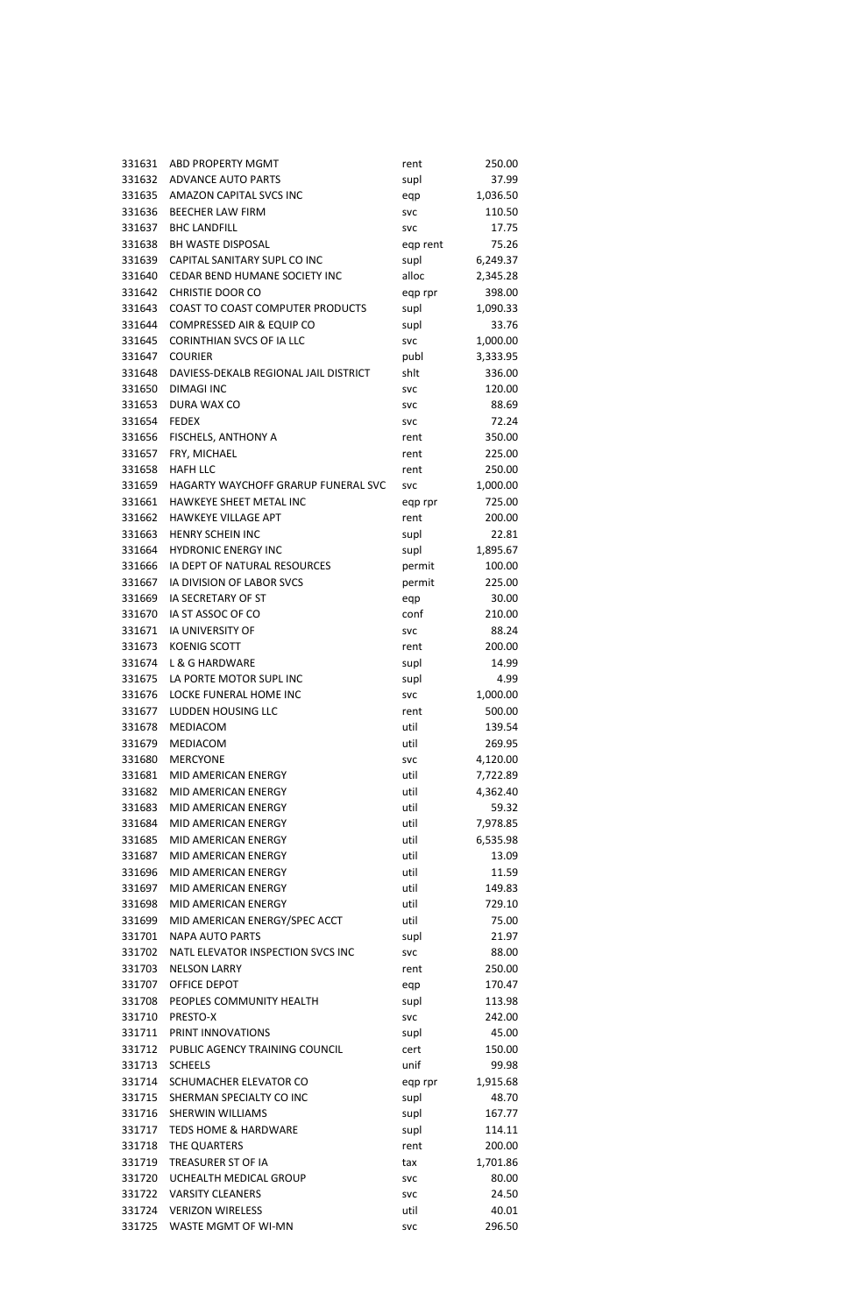| 331631           | ABD PROPERTY MGMT                                 | rent               | 250.00         |
|------------------|---------------------------------------------------|--------------------|----------------|
| 331632           | <b>ADVANCE AUTO PARTS</b>                         | supl               | 37.99          |
| 331635           | AMAZON CAPITAL SVCS INC                           | eqp                | 1,036.50       |
| 331636           | <b>BEECHER LAW FIRM</b>                           | <b>SVC</b>         | 110.50         |
| 331637           | <b>BHC LANDFILL</b>                               | <b>SVC</b>         | 17.75          |
| 331638           | <b>BH WASTE DISPOSAL</b>                          | eqp rent           | 75.26          |
| 331639           | CAPITAL SANITARY SUPL CO INC                      | supl               | 6,249.37       |
| 331640           | CEDAR BEND HUMANE SOCIETY INC                     | alloc              | 2,345.28       |
| 331642           | <b>CHRISTIE DOOR CO</b>                           | eqp rpr            | 398.00         |
| 331643           | COAST TO COAST COMPUTER PRODUCTS                  | supl               | 1,090.33       |
| 331644           | COMPRESSED AIR & EQUIP CO                         | supl               | 33.76          |
| 331645           | <b>CORINTHIAN SVCS OF IA LLC</b>                  | <b>SVC</b>         | 1,000.00       |
| 331647           | <b>COURIER</b>                                    | publ               | 3,333.95       |
| 331648           | DAVIESS-DEKALB REGIONAL JAIL DISTRICT             | shlt               | 336.00         |
| 331650           | <b>DIMAGI INC</b>                                 | <b>SVC</b>         | 120.00         |
| 331653           | DURA WAX CO                                       | <b>SVC</b>         | 88.69          |
| 331654           | <b>FEDEX</b>                                      | <b>SVC</b>         | 72.24          |
| 331656           | FISCHELS, ANTHONY A                               | rent               | 350.00         |
| 331657           | FRY, MICHAEL                                      | rent               | 225.00         |
| 331658           | <b>HAFH LLC</b>                                   | rent               | 250.00         |
| 331659           | HAGARTY WAYCHOFF GRARUP FUNERAL SVC               | <b>SVC</b>         | 1,000.00       |
| 331661           | HAWKEYE SHEET METAL INC                           | eqp rpr            | 725.00         |
| 331662           | HAWKEYE VILLAGE APT                               | rent               | 200.00         |
| 331663           | <b>HENRY SCHEIN INC</b>                           | supl               | 22.81          |
| 331664           | <b>HYDRONIC ENERGY INC</b>                        | supl               | 1,895.67       |
| 331666           | IA DEPT OF NATURAL RESOURCES                      | permit             | 100.00         |
| 331667           | IA DIVISION OF LABOR SVCS                         | permit             | 225.00         |
| 331669           | <b>IA SECRETARY OF ST</b>                         | eqp                | 30.00          |
| 331670           | IA ST ASSOC OF CO                                 | conf               | 210.00         |
| 331671           | <b>IA UNIVERSITY OF</b>                           | <b>SVC</b>         | 88.24          |
| 331673           | <b>KOENIG SCOTT</b>                               | rent               | 200.00         |
| 331674           | L & G HARDWARE                                    | supl               | 14.99          |
| 331675           | LA PORTE MOTOR SUPL INC                           | supl               | 4.99           |
| 331676           | <b>LOCKE FUNERAL HOME INC</b>                     | <b>SVC</b>         | 1,000.00       |
| 331677           | LUDDEN HOUSING LLC                                | rent               | 500.00         |
| 331678           | MEDIACOM                                          | util               | 139.54         |
| 331679           | MEDIACOM                                          | util               | 269.95         |
| 331680           | <b>MERCYONE</b>                                   | <b>SVC</b>         | 4,120.00       |
| 331681           | MID AMERICAN ENERGY                               | util               | 7,722.89       |
| 331682           | MID AMERICAN ENERGY                               | util               | 4,362.40       |
| 331683           | MID AMERICAN ENERGY                               | util               | 59.32          |
| 331684           | MID AMERICAN ENERGY                               | util               | 7,978.85       |
| 331685           | MID AMERICAN ENERGY                               | util               | 6,535.98       |
| 331687           | MID AMERICAN ENERGY                               | util               | 13.09          |
| 331696           | MID AMERICAN ENERGY                               | util               | 11.59          |
| 331697           | MID AMERICAN ENERGY                               | util               | 149.83         |
| 331698           | MID AMERICAN ENERGY                               | util               | 729.10         |
| 331699           | MID AMERICAN ENERGY/SPEC ACCT                     | util               | 75.00          |
| 331701           | <b>NAPA AUTO PARTS</b>                            | supl               | 21.97          |
| 331702           | NATL ELEVATOR INSPECTION SVCS INC                 | <b>SVC</b>         | 88.00          |
| 331703           | <b>NELSON LARRY</b>                               | rent               | 250.00         |
| 331707           | OFFICE DEPOT                                      | eqp                | 170.47         |
| 331708           | PEOPLES COMMUNITY HEALTH                          | supl               | 113.98         |
| 331710           | PRESTO-X                                          | <b>SVC</b>         | 242.00         |
| 331711           | PRINT INNOVATIONS                                 | supl               | 45.00          |
| 331712           | PUBLIC AGENCY TRAINING COUNCIL                    | cert               | 150.00         |
| 331713           | <b>SCHEELS</b>                                    | unif               | 99.98          |
| 331714           | SCHUMACHER ELEVATOR CO                            | eqp rpr            | 1,915.68       |
| 331715           | SHERMAN SPECIALTY CO INC                          | supl               | 48.70          |
| 331716           | <b>SHERWIN WILLIAMS</b>                           | supl               | 167.77         |
| 331717           | <b>TEDS HOME &amp; HARDWARE</b>                   | supl               | 114.11         |
| 331718           | THE QUARTERS                                      | rent               | 200.00         |
| 331719           | TREASURER ST OF IA                                | tax                | 1,701.86       |
| 331720           | UCHEALTH MEDICAL GROUP<br><b>VARSITY CLEANERS</b> | <b>SVC</b>         | 80.00          |
| 331722           | <b>VERIZON WIRELESS</b>                           | <b>SVC</b>         | 24.50<br>40.01 |
| 331724<br>331725 | WASTE MGMT OF WI-MN                               | util<br><b>SVC</b> | 296.50         |
|                  |                                                   |                    |                |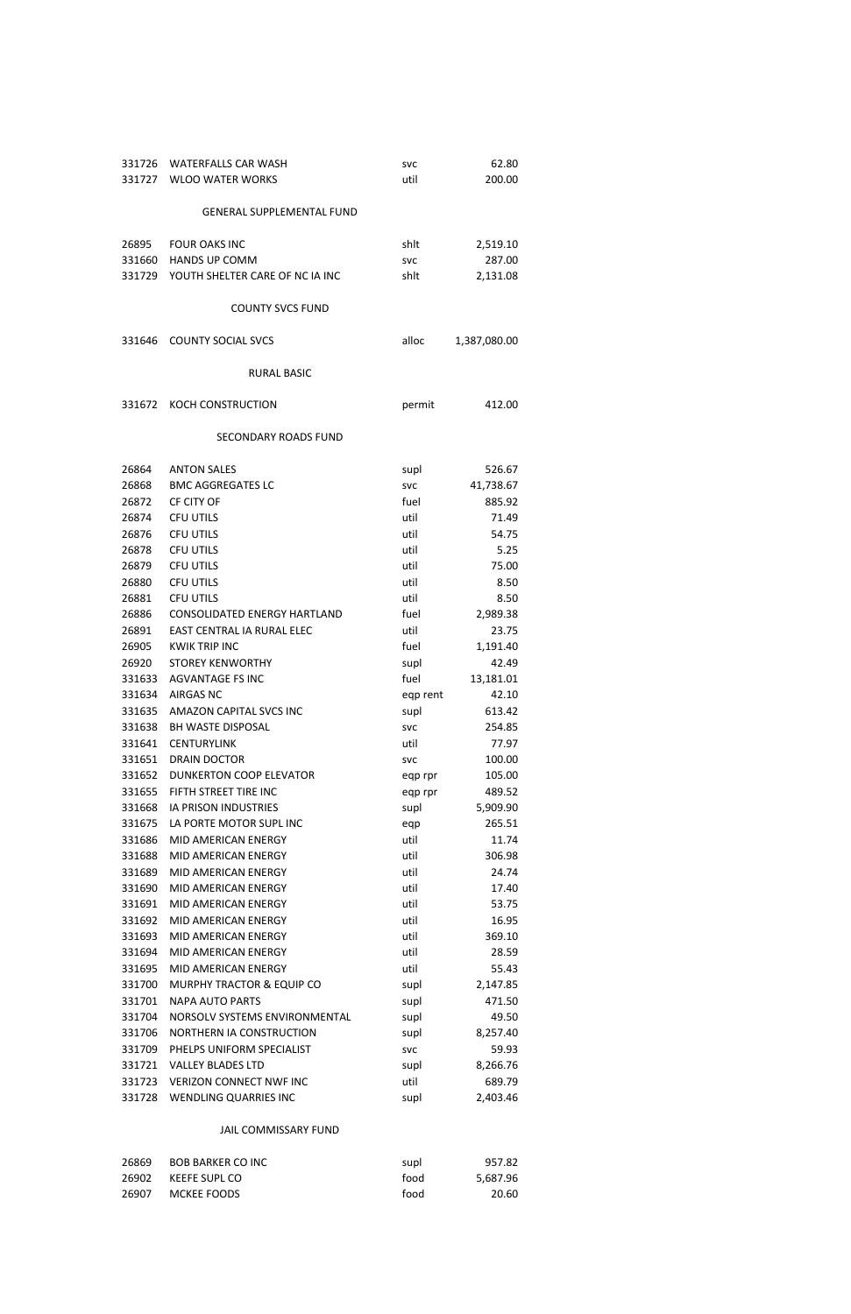| 331726 | <b>WATERFALLS CAR WASH</b>          | <b>SVC</b> | 62.80        |
|--------|-------------------------------------|------------|--------------|
| 331727 | <b>WLOO WATER WORKS</b>             | util       | 200.00       |
|        |                                     |            |              |
|        | <b>GENERAL SUPPLEMENTAL FUND</b>    |            |              |
|        |                                     |            |              |
| 26895  | <b>FOUR OAKS INC</b>                | shlt       | 2,519.10     |
| 331660 | <b>HANDS UP COMM</b>                | <b>SVC</b> | 287.00       |
| 331729 | YOUTH SHELTER CARE OF NC IA INC     | shlt       | 2,131.08     |
|        |                                     |            |              |
|        | <b>COUNTY SVCS FUND</b>             |            |              |
|        |                                     |            |              |
| 331646 | <b>COUNTY SOCIAL SVCS</b>           | alloc      | 1,387,080.00 |
|        |                                     |            |              |
|        | <b>RURAL BASIC</b>                  |            |              |
|        |                                     |            |              |
| 331672 | KOCH CONSTRUCTION                   |            |              |
|        |                                     | permit     | 412.00       |
|        |                                     |            |              |
|        | <b>SECONDARY ROADS FUND</b>         |            |              |
| 26864  | <b>ANTON SALES</b>                  |            |              |
|        |                                     | supl       | 526.67       |
| 26868  | <b>BMC AGGREGATES LC</b>            | <b>SVC</b> | 41,738.67    |
| 26872  | CF CITY OF                          | fuel       | 885.92       |
| 26874  | <b>CFU UTILS</b>                    | util       | 71.49        |
| 26876  | <b>CFU UTILS</b>                    | util       | 54.75        |
| 26878  | <b>CFU UTILS</b>                    | util       | 5.25         |
| 26879  | <b>CFU UTILS</b>                    | util       | 75.00        |
| 26880  | <b>CFU UTILS</b>                    | util       | 8.50         |
| 26881  | <b>CFU UTILS</b>                    | util       | 8.50         |
| 26886  | <b>CONSOLIDATED ENERGY HARTLAND</b> | fuel       | 2,989.38     |
| 26891  | EAST CENTRAL IA RURAL ELEC          | util       | 23.75        |
| 26905  | <b>KWIK TRIP INC</b>                | fuel       | 1,191.40     |
| 26920  | <b>STOREY KENWORTHY</b>             | supl       | 42.49        |
| 331633 | <b>AGVANTAGE FS INC</b>             | fuel       | 13,181.01    |
| 331634 | <b>AIRGAS NC</b>                    | eqp rent   | 42.10        |
| 331635 | <b>AMAZON CAPITAL SVCS INC</b>      | supl       | 613.42       |
| 331638 | <b>BH WASTE DISPOSAL</b>            | <b>SVC</b> | 254.85       |
| 331641 | <b>CENTURYLINK</b>                  | util       | 77.97        |
| 331651 | <b>DRAIN DOCTOR</b>                 | <b>SVC</b> | 100.00       |
| 331652 | <b>DUNKERTON COOP ELEVATOR</b>      | eqp rpr    | 105.00       |
| 331655 | FIFTH STREET TIRE INC               | eqp rpr    | 489.52       |
| 331668 | <b>IA PRISON INDUSTRIES</b>         | supl       | 5,909.90     |
| 331675 | LA PORTE MOTOR SUPL INC             | eqp        | 265.51       |
| 331686 | <b>MID AMERICAN ENERGY</b>          | util       | 11.74        |
| 331688 | MID AMERICAN ENERGY                 | util       | 306.98       |
| 331689 | MID AMERICAN ENERGY                 | util       | 24.74        |
| 331690 | MID AMERICAN ENERGY                 | util       | 17.40        |
| 331691 | <b>MID AMERICAN ENERGY</b>          | util       | 53.75        |
| 331692 | MID AMERICAN ENERGY                 | util       | 16.95        |
| 331693 | MID AMERICAN ENERGY                 | util       | 369.10       |
| 331694 | MID AMERICAN ENERGY                 | util       | 28.59        |
| 331695 | MID AMERICAN ENERGY                 | util       | 55.43        |
| 331700 | MURPHY TRACTOR & EQUIP CO           | supl       | 2,147.85     |
| 331701 | <b>NAPA AUTO PARTS</b>              | supl       | 471.50       |
| 331704 | NORSOLV SYSTEMS ENVIRONMENTAL       | supl       | 49.50        |
| 331706 | NORTHERN IA CONSTRUCTION            |            | 8,257.40     |
| 331709 | PHELPS UNIFORM SPECIALIST           | supl       |              |
|        |                                     | <b>SVC</b> | 59.93        |
| 331721 | <b>VALLEY BLADES LTD</b>            | supl       | 8,266.76     |
| 331723 | <b>VERIZON CONNECT NWF INC</b>      | util       | 689.79       |
| 331728 | WENDLING QUARRIES INC               | supl       | 2,403.46     |

# JAIL COMMISSARY FUND

| 26869 | BOB BARKER CO INC | supl | 957.82   |
|-------|-------------------|------|----------|
| 26902 | KEEFE SUPL CO     | food | 5.687.96 |
| 26907 | MCKEE FOODS       | food | 20.60    |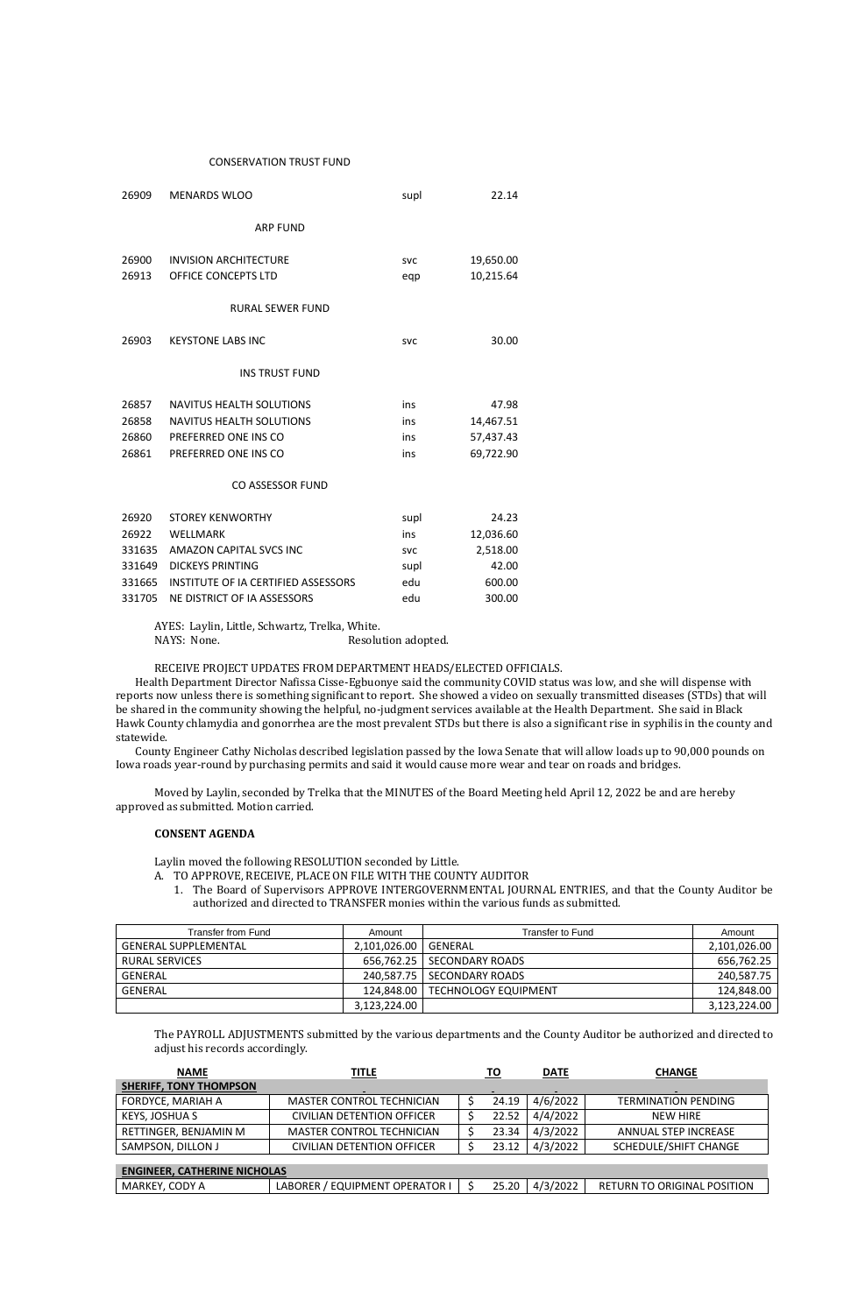#### CONSERVATION TRUST FUND

| 26909  | <b>MENARDS WLOO</b>                        | supl       | 22.14     |
|--------|--------------------------------------------|------------|-----------|
|        | <b>ARP FUND</b>                            |            |           |
| 26900  | <b>INVISION ARCHITECTURE</b>               | <b>SVC</b> | 19,650.00 |
| 26913  | OFFICE CONCEPTS LTD                        | eqp        | 10,215.64 |
|        | <b>RURAL SEWER FUND</b>                    |            |           |
| 26903  | <b>KEYSTONE LABS INC</b>                   | <b>SVC</b> | 30.00     |
|        | <b>INS TRUST FUND</b>                      |            |           |
| 26857  | NAVITUS HEALTH SOLUTIONS                   | ins        | 47.98     |
| 26858  | <b>NAVITUS HEALTH SOLUTIONS</b>            | ins        | 14,467.51 |
| 26860  | PREFERRED ONE INS CO                       | ins        | 57,437.43 |
| 26861  | PREFERRED ONE INS CO                       | ins        | 69,722.90 |
|        | <b>CO ASSESSOR FUND</b>                    |            |           |
| 26920  | <b>STOREY KENWORTHY</b>                    | supl       | 24.23     |
| 26922  | <b>WELLMARK</b>                            | ins        | 12,036.60 |
| 331635 | AMAZON CAPITAL SVCS INC                    | <b>SVC</b> | 2,518.00  |
| 331649 | <b>DICKEYS PRINTING</b>                    | supl       | 42.00     |
| 331665 | <b>INSTITUTE OF IA CERTIFIED ASSESSORS</b> | edu        | 600.00    |
| 331705 | NE DISTRICT OF IA ASSESSORS                | edu        | 300.00    |

AYES: Laylin, Little, Schwartz, Trelka, White.

NAYS: None. Resolution adopted.

## RECEIVE PROJECT UPDATES FROM DEPARTMENT HEADS/ELECTED OFFICIALS.

Health Department Director Nafissa Cisse-Egbuonye said the community COVID status was low, and she will dispense with reports now unless there is something significant to report. She showed a video on sexually transmitted diseases (STDs) that will be shared in the community showing the helpful, no-judgment services available at the Health Department. She said in Black Hawk County chlamydia and gonorrhea are the most prevalent STDs but there is also a significant rise in syphilis in the county and statewide.

County Engineer Cathy Nicholas described legislation passed by the Iowa Senate that will allow loads up to 90,000 pounds on Iowa roads year-round by purchasing permits and said it would cause more wear and tear on roads and bridges.

Moved by Laylin, seconded by Trelka that the MINUTES of the Board Meeting held April 12, 2022 be and are hereby approved as submitted. Motion carried.

### **CONSENT AGENDA**

Laylin moved the following RESOLUTION seconded by Little.

- A. TO APPROVE, RECEIVE, PLACE ON FILE WITH THE COUNTY AUDITOR
	- 1. The Board of Supervisors APPROVE INTERGOVERNMENTAL JOURNAL ENTRIES, and that the County Auditor be authorized and directed to TRANSFER monies within the various funds as submitted.

| Transfer from Fund          | Amount                 | Transfer to Fund                  | Amount       |
|-----------------------------|------------------------|-----------------------------------|--------------|
| <b>GENERAL SUPPLEMENTAL</b> | 2,101,026.00   GENERAL |                                   | 2,101,026.00 |
| RURAL SERVICES              |                        | 656,762.25   SECONDARY ROADS      | 656,762.25   |
| GENERAL                     |                        | 240.587.75 SECONDARY ROADS        | 240,587.75   |
| GENERAL                     |                        | 124.848.00   TECHNOLOGY EQUIPMENT | 124,848.00   |
|                             | 3,123,224.00           |                                   | 3,123,224.00 |

The PAYROLL ADJUSTMENTS submitted by the various departments and the County Auditor be authorized and directed to adjust his records accordingly.

| <b>NAME</b>                   | TITLE                            | TO    | <b>DATE</b> | <b>CHANGE</b>              |
|-------------------------------|----------------------------------|-------|-------------|----------------------------|
| <b>SHERIFF, TONY THOMPSON</b> |                                  |       |             |                            |
| FORDYCE, MARIAH A             | <b>MASTER CONTROL TECHNICIAN</b> | 24.19 | 4/6/2022    | <b>TERMINATION PENDING</b> |
| KEYS, JOSHUA S                | CIVILIAN DETENTION OFFICER       | 22.52 | 4/4/2022    | NEW HIRE                   |
| RETTINGER, BENJAMIN M         | MASTER CONTROL TECHNICIAN        | 23.34 | 4/3/2022    | ANNUAL STEP INCREASE       |
| SAMPSON, DILLON J             | CIVILIAN DETENTION OFFICER       | 23.12 | 4/3/2022    | SCHEDULE/SHIFT CHANGE      |

# **ENGINEER, CATHERINE NICHOLAS**

|  | MARKEY, CODY A | LABORER / EQUIPMENT OPERATOR I   \$ |  |  | $25.20$   4/3/2022 | RETURN TO ORIGINAL POSITION |
|--|----------------|-------------------------------------|--|--|--------------------|-----------------------------|
|--|----------------|-------------------------------------|--|--|--------------------|-----------------------------|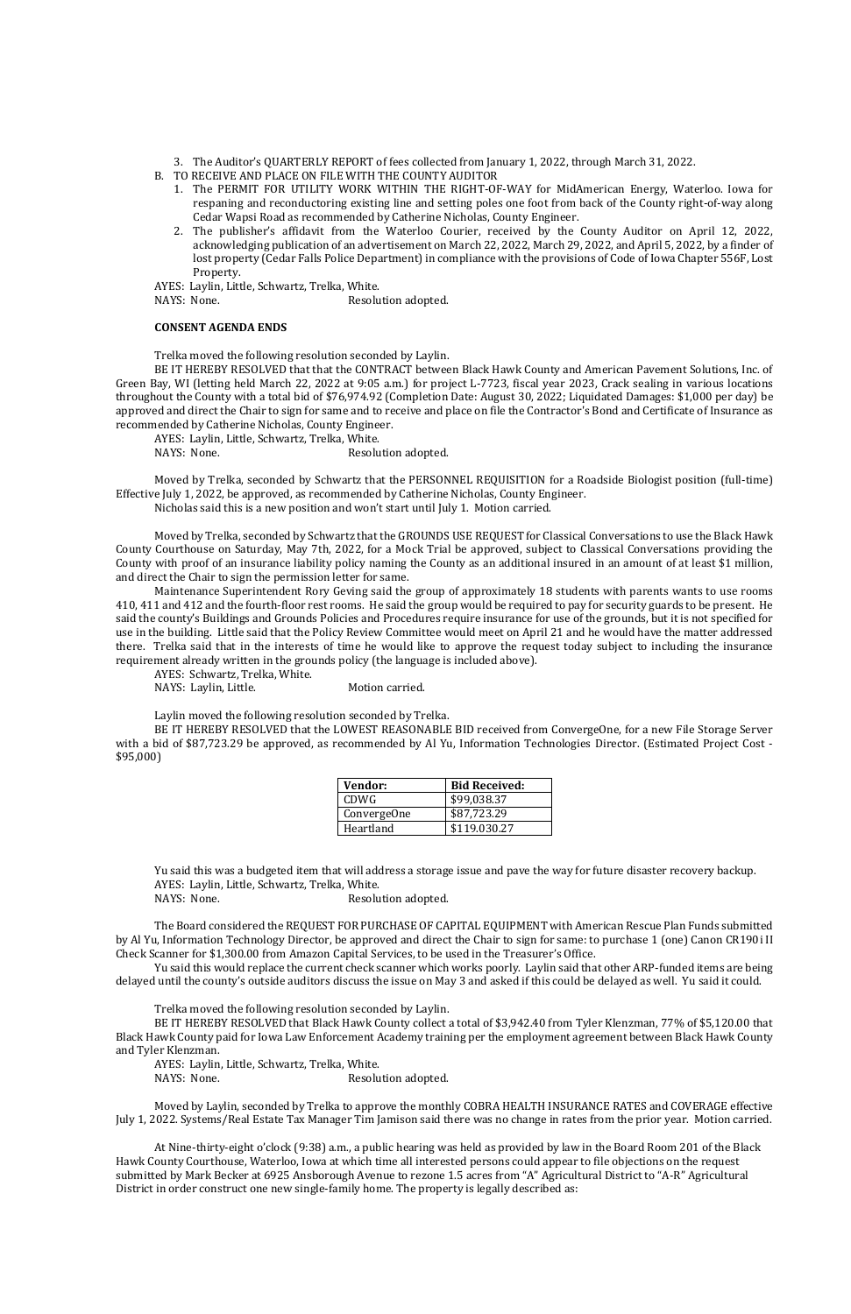- 3. The Auditor's QUARTERLY REPORT of fees collected from January 1, 2022, through March 31, 2022.
- B. TO RECEIVE AND PLACE ON FILE WITH THE COUNTY AUDITOR
	- 1. The PERMIT FOR UTILITY WORK WITHIN THE RIGHT-OF-WAY for MidAmerican Energy, Waterloo. Iowa for respaning and reconductoring existing line and setting poles one foot from back of the County right-of-way along Cedar Wapsi Road as recommended by Catherine Nicholas, County Engineer.
	- 2. The publisher's affidavit from the Waterloo Courier, received by the County Auditor on April 12, 2022, acknowledging publication of an advertisement on March 22, 2022, March 29, 2022, and April 5, 2022, by a finder of lost property (Cedar Falls Police Department) in compliance with the provisions of Code of Iowa Chapter 556F, Lost Property.

AYES: Laylin, Little, Schwartz, Trelka, White.

NAYS: None. Resolution adopted.

#### **CONSENT AGENDA ENDS**

Trelka moved the following resolution seconded by Laylin.

BE IT HEREBY RESOLVED that that the CONTRACT between Black Hawk County and American Pavement Solutions, Inc. of Green Bay, WI (letting held March 22, 2022 at 9:05 a.m.) for project L-7723, fiscal year 2023, Crack sealing in various locations throughout the County with a total bid of \$76,974.92 (Completion Date: August 30, 2022; Liquidated Damages: \$1,000 per day) be approved and direct the Chair to sign for same and to receive and place on file the Contractor's Bond and Certificate of Insurance as recommended by Catherine Nicholas, County Engineer.

AYES: Laylin, Little, Schwartz, Trelka, White.

NAYS: None. Resolution adopted.

Moved by Trelka, seconded by Schwartz that the PERSONNEL REQUISITION for a Roadside Biologist position (full-time) Effective July 1, 2022, be approved, as recommended by Catherine Nicholas, County Engineer.

Nicholas said this is a new position and won't start until July 1. Motion carried.

Moved by Trelka, seconded by Schwartz that the GROUNDS USE REQUEST for Classical Conversations to use the Black Hawk County Courthouse on Saturday, May 7th, 2022, for a Mock Trial be approved, subject to Classical Conversations providing the County with proof of an insurance liability policy naming the County as an additional insured in an amount of at least \$1 million, and direct the Chair to sign the permission letter for same.

AYES: Laylin, Little, Schwartz, Trelka, White. NAYS: None. Resolution adopted.

Maintenance Superintendent Rory Geving said the group of approximately 18 students with parents wants to use rooms 410, 411 and 412 and the fourth-floor rest rooms. He said the group would be required to pay for security guards to be present. He said the county's Buildings and Grounds Policies and Procedures require insurance for use of the grounds, but it is not specified for use in the building. Little said that the Policy Review Committee would meet on April 21 and he would have the matter addressed there. Trelka said that in the interests of time he would like to approve the request today subject to including the insurance requirement already written in the grounds policy (the language is included above).

AYES: Schwartz, Trelka, White.

NAYS: Laylin, Little. Motion carried.

Laylin moved the following resolution seconded by Trelka.

BE IT HEREBY RESOLVED that the LOWEST REASONABLE BID received from ConvergeOne, for a new File Storage Server with a bid of \$87,723.29 be approved, as recommended by Al Yu, Information Technologies Director. (Estimated Project Cost - \$95,000)

| Vendor:     | <b>Bid Received:</b> |
|-------------|----------------------|
| <b>CDWG</b> | \$99,038.37          |
| ConvergeOne | \$87,723.29          |
| Heartland   | \$119.030.27         |

Yu said this was a budgeted item that will address a storage issue and pave the way for future disaster recovery backup. AYES: Laylin, Little, Schwartz, Trelka, White.

NAYS: None. Resolution adopted.

The Board considered the REQUEST FOR PURCHASE OF CAPITAL EQUIPMENT with American Rescue Plan Funds submitted by Al Yu, Information Technology Director, be approved and direct the Chair to sign for same: to purchase 1 (one) Canon CR190i II Check Scanner for \$1,300.00 from Amazon Capital Services, to be used in the Treasurer's Office.

Yu said this would replace the current check scanner which works poorly. Laylin said that other ARP-funded items are being delayed until the county's outside auditors discuss the issue on May 3 and asked if this could be delayed as well. Yu said it could.

Trelka moved the following resolution seconded by Laylin.

BE IT HEREBY RESOLVED that Black Hawk County collect a total of \$3,942.40 from Tyler Klenzman, 77% of \$5,120.00 that Black Hawk County paid for Iowa Law Enforcement Academy training per the employment agreement between Black Hawk County and Tyler Klenzman.

Moved by Laylin, seconded by Trelka to approve the monthly COBRA HEALTH INSURANCE RATES and COVERAGE effective July 1, 2022. Systems/Real Estate Tax Manager Tim Jamison said there was no change in rates from the prior year. Motion carried.

At Nine-thirty-eight o'clock (9:38) a.m., a public hearing was held as provided by law in the Board Room 201 of the Black Hawk County Courthouse, Waterloo, Iowa at which time all interested persons could appear to file objections on the request submitted by Mark Becker at 6925 Ansborough Avenue to rezone 1.5 acres from "A" Agricultural District to "A-R" Agricultural District in order construct one new single-family home. The property is legally described as: